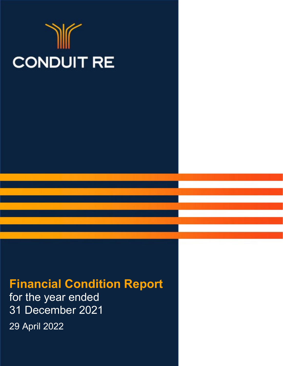# **CONDUIT RE**

# **Financial Condition Report**

for the year ended 31 December 2021

29 April 2022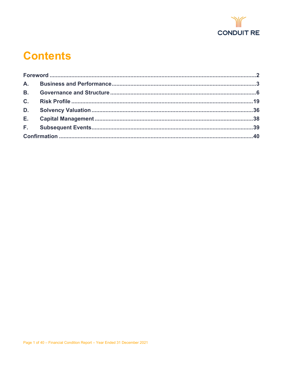

# **Contents**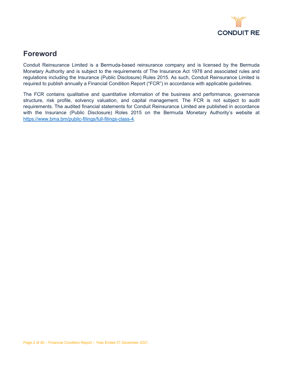

## <span id="page-2-0"></span>**Foreword**

Conduit Reinsurance Limited is a Bermuda-based reinsurance company and is licensed by the Bermuda Monetary Authority and is subject to the requirements of The Insurance Act 1978 and associated rules and regulations including the Insurance (Public Disclosure) Rules 2015. As such, Conduit Reinsurance Limited is required to publish annually a Financial Condition Report ("FCR") in accordance with applicable guidelines.

The FCR contains qualitative and quantitative information of the business and performance, governance structure, risk profile, solvency valuation, and capital management. The FCR is not subject to audit requirements. The audited financial statements for Conduit Reinsurance Limited are published in accordance with the Insurance (Public Disclosure) Roles 2015 on the Bermuda Monetary Authority's website at [https://www.bma.bm/public-filings/full-filings-class-4.](https://www.bma.bm/public-filings/full-filings-class-4)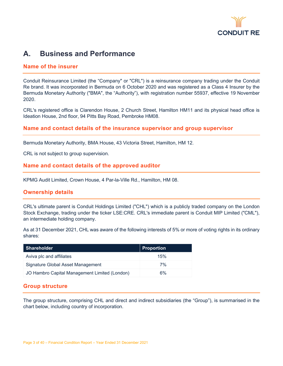

### <span id="page-3-0"></span>**A. Business and Performance**

#### **Name of the insurer**

Conduit Reinsurance Limited (the "Company" or "CRL") is a reinsurance company trading under the Conduit Re brand. It was incorporated in Bermuda on 6 October 2020 and was registered as a Class 4 Insurer by the Bermuda Monetary Authority ("BMA", the "Authority"), with registration number 55937, effective 19 November 2020.

CRL's registered office is Clarendon House, 2 Church Street, Hamilton HM11 and its physical head office is Ideation House, 2nd floor, 94 Pitts Bay Road, Pembroke HM08.

#### **Name and contact details of the insurance supervisor and group supervisor**

Bermuda Monetary Authority, BMA House, 43 Victoria Street, Hamilton, HM 12.

CRL is not subject to group supervision.

#### **Name and contact details of the approved auditor**

KPMG Audit Limited, Crown House, 4 Par-la-Ville Rd., Hamilton, HM 08.

#### **Ownership details**

CRL's ultimate parent is Conduit Holdings Limited ("CHL") which is a publicly traded company on the London Stock Exchange, trading under the ticker LSE:CRE. CRL's immediate parent is Conduit MIP Limited ("CML"), an intermediate holding company.

As at 31 December 2021, CHL was aware of the following interests of 5% or more of voting rights in its ordinary shares:

| <b>Shareholder</b>                            | <b>Proportion</b> |
|-----------------------------------------------|-------------------|
| Aviva plc and affiliates                      | 15%               |
| Signature Global Asset Management             | 7%                |
| JO Hambro Capital Management Limited (London) | 6%                |

#### **Group structure**

The group structure, comprising CHL and direct and indirect subsidiaries (the "Group"), is summarised in the chart below, including country of incorporation.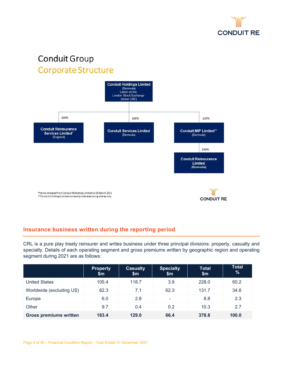

# Conduit Group Corporate Structure



#### **Insurance business written during the reporting period**

CRL is a pure play treaty reinsurer and writes business under three principal divisions: property, casualty and specialty. Details of each operating segment and gross premiums written by geographic region and operating segment during 2021 are as follows:

|                               | <b>Property</b><br>\$m | <b>Casualty</b><br>$\mathsf{Sm}$ | <b>Specialty</b><br>\$m | <b>Total</b><br>\$m | <b>Total</b><br>% |
|-------------------------------|------------------------|----------------------------------|-------------------------|---------------------|-------------------|
| <b>United States</b>          | 105.4                  | 118.7                            | 3.9                     | 228.0               | 60.2              |
| Worldwide (excluding US)      | 62.3                   | 7.1                              | 62.3                    | 131.7               | 34.8              |
| Europe                        | 6.0                    | 2.8                              | ۰                       | 8.8                 | 2.3               |
| Other                         | 9.7                    | 0.4                              | 0.2                     | 10.3                | 2.7               |
| <b>Gross premiums written</b> | 183.4                  | 129.0                            | 66.4                    | 378.8               | 100.0             |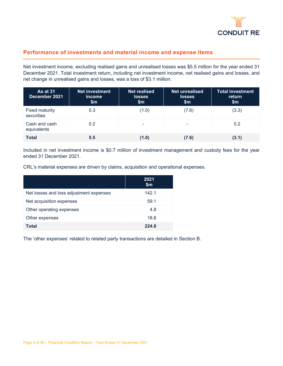

#### **Performance of investments and material income and expense items**

Net investment income, excluding realised gains and unrealised losses was \$5.5 million for the year ended 31 December 2021. Total investment return, including net investment income, net realised gains and losses, and net change in unrealised gains and losses, was a loss of \$3.1 million.

| <b>As at 31</b><br>December 2021    | <b>Net investment</b><br><i>income</i><br>\$m\$ | <b>Net realised</b><br><b>losses</b><br>\$m\$ | <b>Net unrealised</b><br><b>losses</b><br>\$m | <b>Total investment</b><br>return<br>\$m\$ |
|-------------------------------------|-------------------------------------------------|-----------------------------------------------|-----------------------------------------------|--------------------------------------------|
| <b>Fixed maturity</b><br>securities | 5.3                                             | (1.0)                                         | (7.6)                                         | (3.3)                                      |
| Cash and cash<br>equivalents        | 0.2                                             | ۰                                             | -                                             | 0.2                                        |
| <b>Total</b>                        | 5.5                                             | (1.0)                                         | (7.6)                                         | (3.1)                                      |

Included in net investment income is \$0.7 million of investment management and custody fees for the year ended 31 December 2021.

CRL's material expenses are driven by claims, acquisition and operational expenses.

|                                         | 2021<br>\$m |
|-----------------------------------------|-------------|
| Net losses and loss adjustment expenses | 142.1       |
| Net acquisition expenses                | 59.1        |
| Other operating expenses                | 4.8         |
| Other expenses                          | 18.8        |
| Total                                   | 224.8       |

The 'other expenses' related to related party transactions are detailed in Section B.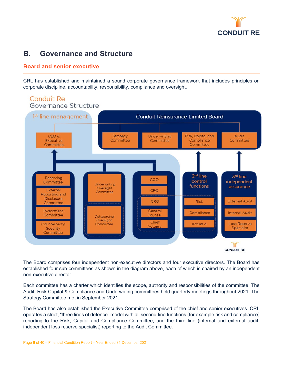

## <span id="page-6-0"></span>**B. Governance and Structure**

#### **Board and senior executive**

CRL has established and maintained a sound corporate governance framework that includes principles on corporate discipline, accountability, responsibility, compliance and oversight.



The Board comprises four independent non-executive directors and four executive directors. The Board has established four sub-committees as shown in the diagram above, each of which is chaired by an independent non-executive director.

Each committee has a charter which identifies the scope, authority and responsibilities of the committee. The Audit, Risk Capital & Compliance and Underwriting committees held quarterly meetings throughout 2021. The Strategy Committee met in September 2021.

The Board has also established the Executive Committee comprised of the chief and senior executives. CRL operates a strict, "three lines of defence" model with all second-line functions (for example risk and compliance) reporting to the Risk, Capital and Compliance Committee; and the third line (internal and external audit, independent loss reserve specialist) reporting to the Audit Committee.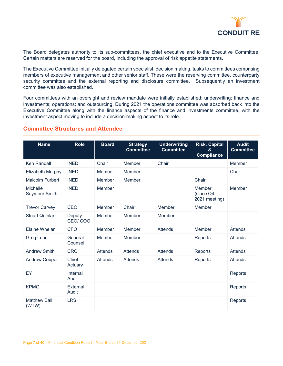

The Board delegates authority to its sub-committees, the chief executive and to the Executive Committee. Certain matters are reserved for the board, including the approval of risk appetite statements.

The Executive Committee initially delegated certain specialist, decision making, tasks to committees comprising members of executive management and other senior staff. These were the reserving committee, counterparty security committee and the external reporting and disclosure committee. Subsequently an investment committee was also established.

Four committees with an oversight and review mandate were initially established: underwriting; finance and investments; operations; and outsourcing. During 2021 the operations committee was absorbed back into the Executive Committee along with the finance aspects of the finance and investments committee, with the investment aspect moving to include a decision-making aspect to its role.

| <b>Name</b>                      | <b>Role</b>        | <b>Board</b>   | <b>Strategy</b><br><b>Committee</b> | <b>Underwriting</b><br><b>Committee</b> | <b>Risk, Capital</b><br>8.<br><b>Compliance</b> | <b>Audit</b><br><b>Committee</b> |
|----------------------------------|--------------------|----------------|-------------------------------------|-----------------------------------------|-------------------------------------------------|----------------------------------|
| <b>Ken Randall</b>               | <b>INED</b>        | Chair          | Member                              | Chair                                   |                                                 | Member                           |
| Elizabeth Murphy                 | <b>INED</b>        | Member         | Member                              |                                         |                                                 | Chair                            |
| <b>Malcolm Furbert</b>           | <b>INED</b>        | Member         | Member                              |                                         | Chair                                           |                                  |
| <b>Michelle</b><br>Seymour Smith | <b>INED</b>        | Member         |                                     |                                         | Member<br>(since Q4<br>2021 meeting)            | Member                           |
| <b>Trevor Carvey</b>             | CEO                | Member         | Chair                               | Member                                  | Member                                          |                                  |
| <b>Stuart Quinlan</b>            | Deputy<br>CEO/COO  | Member         | Member                              | Member                                  |                                                 |                                  |
| Elaine Whelan                    | <b>CFO</b>         | Member         | Member                              | <b>Attends</b>                          | Member                                          | <b>Attends</b>                   |
| <b>Greg Lunn</b>                 | General<br>Counsel | Member         | Member                              |                                         | Reports                                         | <b>Attends</b>                   |
| <b>Andrew Smith</b>              | <b>CRO</b>         | <b>Attends</b> | <b>Attends</b>                      | <b>Attends</b>                          | Reports                                         | <b>Attends</b>                   |
| <b>Andrew Couper</b>             | Chief<br>Actuary   | Attends        | Attends                             | Attends                                 | Reports                                         | <b>Attends</b>                   |
| EY                               | Internal<br>Audit  |                |                                     |                                         |                                                 | Reports                          |
| <b>KPMG</b>                      | External<br>Audit  |                |                                     |                                         |                                                 | Reports                          |
| <b>Matthew Ball</b><br>(WTW)     | <b>LRS</b>         |                |                                     |                                         |                                                 | Reports                          |

#### **Committee Structures and Attendee**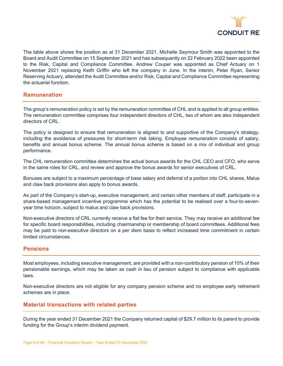

The table above shows the position as at 31 December 2021. Michelle Seymour Smith was appointed to the Board and Audit Committee on 15 September 2021 and has subsequently on 22 February 2022 been appointed to the Risk, Capital and Compliance Committee. Andrew Couper was appointed as Chief Actuary on 1 November 2021 replacing Keith Griffin who left the company in June. In the interim, Peter Ryan, Senior Reserving Actuary, attended the Audit Committee and/or Risk, Capital and Compliance Committee representing the actuarial function.

#### **Remuneration**

The group's remuneration policy is set by the remuneration committee of CHL and is applied to all group entities. The remuneration committee comprises four independent directors of CHL, two of whom are also independent directors of CRL.

The policy is designed to ensure that remuneration is aligned to and supportive of the Company's strategy, including the avoidance of pressures for short-term risk taking. Employee remuneration consists of salary, benefits and annual bonus scheme. The annual bonus scheme is based on a mix of individual and group performance.

The CHL remuneration committee determines the actual bonus awards for the CHL CEO and CFO, who serve in the same roles for CRL, and review and approve the bonus awards for senior executives of CRL.

Bonuses are subject to a maximum percentage of base salary and deferral of a portion into CHL shares. Malus and claw back provisions also apply to bonus awards.

As part of the Company's start-up, executive management, and certain other members of staff, participate in a share-based management incentive programme which has the potential to be realised over a four-to-sevenyear time horizon, subject to malus and claw back provisions.

Non-executive directors of CRL currently receive a flat fee for their service. They may receive an additional fee for specific board responsibilities, including chairmanship or membership of board committees. Additional fees may be paid to non-executive directors on a per diem basis to reflect increased time commitment in certain limited circumstances.

#### **Pensions**

Most employees, including executive management, are provided with a non-contributory pension of 10% of their pensionable earnings, which may be taken as cash in lieu of pension subject to compliance with applicable laws.

Non-executive directors are not eligible for any company pension scheme and no employee early retirement schemes are in place.

#### **Material transactions with related parties**

During the year ended 31 December 2021 the Company returned capital of \$29.7 million to its parent to provide funding for the Group's interim dividend payment.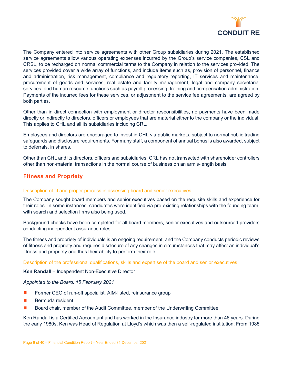

The Company entered into service agreements with other Group subsidiaries during 2021. The established service agreements allow various operating expenses incurred by the Group's service companies, CSL and CRSL, to be recharged on normal commercial terms to the Company in relation to the services provided. The services provided cover a wide array of functions, and include items such as, provision of personnel, finance and administration, risk management, compliance and regulatory reporting, IT services and maintenance, procurement of goods and services, real estate and facility management, legal and company secretarial services, and human resource functions such as payroll processing, training and compensation administration. Payments of the incurred fees for these services, or adjustment to the service fee agreements, are agreed by both parties.

Other than in direct connection with employment or director responsibilities, no payments have been made directly or indirectly to directors, officers or employees that are material either to the company or the individual. This applies to CHL and all its subsidiaries including CRL.

Employees and directors are encouraged to invest in CHL via public markets, subject to normal public trading safeguards and disclosure requirements. For many staff, a component of annual bonus is also awarded, subject to deferrals, in shares.

Other than CHL and its directors, officers and subsidiaries, CRL has not transacted with shareholder controllers other than non-material transactions in the normal course of business on an arm's-length basis.

#### **Fitness and Propriety**

#### Description of fit and proper process in assessing board and senior executives

The Company sought board members and senior executives based on the requisite skills and experience for their roles. In some instances, candidates were identified via pre-existing relationships with the founding team, with search and selection firms also being used.

Background checks have been completed for all board members, senior executives and outsourced providers conducting independent assurance roles.

The fitness and propriety of individuals is an ongoing requirement, and the Company conducts periodic reviews of fitness and propriety and requires disclosure of any changes in circumstances that may affect an individual's fitness and propriety and thus their ability to perform their role.

Description of the professional qualifications, skills and expertise of the board and senior executives.

**Ken Randall** – Independent Non-Executive Director

#### *Appointed to the Board: 15 February 2021*

- **Fig. 5.** Former CEO of run-off specialist, AIM-listed, reinsurance group
- **Bermuda resident**
- Board chair, member of the Audit Committee, member of the Underwriting Committee

Ken Randall is a Certified Accountant and has worked in the Insurance industry for more than 46 years. During the early 1980s, Ken was Head of Regulation at Lloyd's which was then a self-regulated institution. From 1985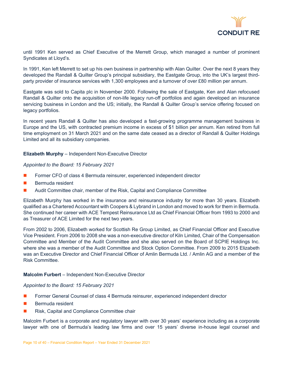

until 1991 Ken served as Chief Executive of the Merrett Group, which managed a number of prominent Syndicates at Lloyd's.

In 1991, Ken left Merrett to set up his own business in partnership with Alan Quilter. Over the next 8 years they developed the Randall & Quilter Group's principal subsidiary, the Eastgate Group, into the UK's largest thirdparty provider of insurance services with 1,300 employees and a turnover of over £80 million per annum.

Eastgate was sold to Capita plc in November 2000. Following the sale of Eastgate, Ken and Alan refocused Randall & Quilter onto the acquisition of non-life legacy run-off portfolios and again developed an insurance servicing business in London and the US; initially, the Randall & Quilter Group's service offering focused on legacy portfolios.

In recent years Randall & Quilter has also developed a fast-growing programme management business in Europe and the US, with contracted premium income in excess of \$1 billion per annum. Ken retired from full time employment on 31 March 2021 and on the same date ceased as a director of Randall & Quilter Holdings Limited and all its subsidiary companies.

**Elizabeth Murphy** – Independent Non-Executive Director

*Appointed to the Board: 15 February 2021*

- **Face Former CFO of class 4 Bermuda reinsurer, experienced independent director**
- **Bermuda resident**
- Audit Committee chair, member of the Risk, Capital and Compliance Committee

Elizabeth Murphy has worked in the insurance and reinsurance industry for more than 30 years. Elizabeth qualified as a Chartered Accountant with Coopers & Lybrand in London and moved to work for them in Bermuda. She continued her career with ACE Tempest Reinsurance Ltd as Chief Financial Officer from 1993 to 2000 and as Treasurer of ACE Limited for the next two years.

From 2002 to 2006, Elizabeth worked for Scottish Re Group Limited, as Chief Financial Officer and Executive Vice President. From 2006 to 2008 she was a non-executive director of Kiln Limited, Chair of the Compensation Committee and Member of the Audit Committee and she also served on the Board of SCPIE Holdings Inc. where she was a member of the Audit Committee and Stock Option Committee. From 2009 to 2015 Elizabeth was an Executive Director and Chief Financial Officer of Amlin Bermuda Ltd. / Amlin AG and a member of the Risk Committee.

#### **Malcolm Furbert** – Independent Non-Executive Director

#### *Appointed to the Board: 15 February 2021*

- Former General Counsel of class 4 Bermuda reinsurer, experienced independent director
- Bermuda resident
- Risk, Capital and Compliance Committee chair

Malcolm Furbert is a corporate and regulatory lawyer with over 30 years' experience including as a corporate lawyer with one of Bermuda's leading law firms and over 15 years' diverse in-house legal counsel and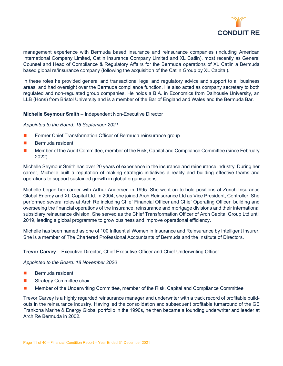

management experience with Bermuda based insurance and reinsurance companies (including American International Company Limited, Catlin Insurance Company Limited and XL Catlin), most recently as General Counsel and Head of Compliance & Regulatory Affairs for the Bermuda operations of XL Catlin a Bermuda based global re/insurance company (following the acquisition of the Catlin Group by XL Capital).

In these roles he provided general and transactional legal and regulatory advice and support to all business areas, and had oversight over the Bermuda compliance function. He also acted as company secretary to both regulated and non-regulated group companies. He holds a B.A. in Economics from Dalhousie University, an LLB (Hons) from Bristol University and is a member of the Bar of England and Wales and the Bermuda Bar.

#### **Michelle Seymour Smith** – Independent Non-Executive Director

#### *Appointed to the Board: 15 September 2021*

- **Former Chief Transformation Officer of Bermuda reinsurance group**
- **Bermuda resident**
- **Member of the Audit Committee, member of the Risk, Capital and Compliance Committee (since February** 2022)

Michelle Seymour Smith has over 20 years of experience in the insurance and reinsurance industry. During her career, Michelle built a reputation of making strategic initiatives a reality and building effective teams and operations to support sustained growth in global organisations.

Michelle began her career with Arthur Andersen in 1995. She went on to hold positions at Zurich Insurance Global Energy and XL Capital Ltd. In 2004, she joined Arch Reinsurance Ltd as Vice President, Controller. She performed several roles at Arch Re including Chief Financial Officer and Chief Operating Officer, building and overseeing the financial operations of the insurance, reinsurance and mortgage divisions and their international subsidiary reinsurance division. She served as the Chief Transformation Officer of Arch Capital Group Ltd until 2019, leading a global programme to grow business and improve operational efficiency.

Michelle has been named as one of 100 Influential Women in Insurance and Reinsurance by Intelligent Insurer. She is a member of The Chartered Professional Accountants of Bermuda and the Institute of Directors.

#### **Trevor Carvey** – Executive Director, Chief Executive Officer and Chief Underwriting Officer

#### *Appointed to the Board: 18 November 2020*

- $\blacksquare$  Bermuda resident
- Strategy Committee chair
- Member of the Underwriting Committee, member of the Risk, Capital and Compliance Committee

Trevor Carvey is a highly regarded reinsurance manager and underwriter with a track record of profitable buildouts in the reinsurance industry. Having led the consolidation and subsequent profitable turnaround of the GE Frankona Marine & Energy Global portfolio in the 1990s, he then became a founding underwriter and leader at Arch Re Bermuda in 2002.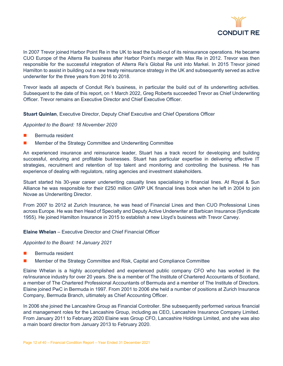

In 2007 Trevor joined Harbor Point Re in the UK to lead the build-out of its reinsurance operations. He became CUO Europe of the Alterra Re business after Harbor Point's merger with Max Re in 2012. Trevor was then responsible for the successful integration of Alterra Re's Global Re unit into Markel. In 2015 Trevor joined Hamilton to assist in building out a new treaty reinsurance strategy in the UK and subsequently served as active underwriter for the three years from 2016 to 2018.

Trevor leads all aspects of Conduit Re's business, in particular the build out of its underwriting activities. Subsequent to the date of this report, on 1 March 2022, Greg Roberts succeeded Trevor as Chief Underwriting Officer. Trevor remains an Executive Director and Chief Executive Officer.

**Stuart Quinlan**, Executive Director, Deputy Chief Executive and Chief Operations Officer

*Appointed to the Board: 18 November 2020*

- **Bermuda resident**
- Member of the Strategy Committee and Underwriting Committee

An experienced insurance and reinsurance leader, Stuart has a track record for developing and building successful, enduring and profitable businesses. Stuart has particular expertise in delivering effective IT strategies, recruitment and retention of top talent and monitoring and controlling the business. He has experience of dealing with regulators, rating agencies and investment stakeholders.

Stuart started his 30-year career underwriting casualty lines specialising in financial lines. At Royal & Sun Alliance he was responsible for their £250 million GWP UK financial lines book when he left in 2004 to join Novae as Underwriting Director.

From 2007 to 2012 at Zurich Insurance, he was head of Financial Lines and then CUO Professional Lines across Europe. He was then Head of Specialty and Deputy Active Underwriter at Barbican Insurance (Syndicate 1955). He joined Hamilton Insurance in 2015 to establish a new Lloyd's business with Trevor Carvey.

**Elaine Whelan** – Executive Director and Chief Financial Officer

*Appointed to the Board: 14 January 2021*

- Bermuda resident
- Member of the Strategy Committee and Risk, Capital and Compliance Committee

Elaine Whelan is a highly accomplished and experienced public company CFO who has worked in the re/insurance industry for over 20 years. She is a member of The Institute of Chartered Accountants of Scotland, a member of The Chartered Professional Accountants of Bermuda and a member of The Institute of Directors. Elaine joined PwC in Bermuda in 1997. From 2001 to 2006 she held a number of positions at Zurich Insurance Company, Bermuda Branch, ultimately as Chief Accounting Officer.

In 2006 she joined the Lancashire Group as Financial Controller. She subsequently performed various financial and management roles for the Lancashire Group, including as CEO, Lancashire Insurance Company Limited. From January 2011 to February 2020 Elaine was Group CFO, Lancashire Holdings Limited, and she was also a main board director from January 2013 to February 2020.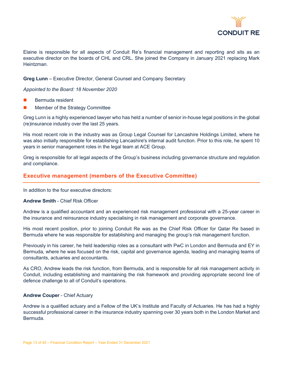

Elaine is responsible for all aspects of Conduit Re's financial management and reporting and sits as an executive director on the boards of CHL and CRL. She joined the Company in January 2021 replacing Mark Heintzman.

#### **Greg Lunn** – Executive Director, General Counsel and Company Secretary

#### *Appointed to the Board: 18 November 2020*

- Bermuda resident
- Member of the Strategy Committee

Greg Lunn is a highly experienced lawyer who has held a number of senior in-house legal positions in the global (re)insurance industry over the last 25 years.

His most recent role in the industry was as Group Legal Counsel for Lancashire Holdings Limited, where he was also initially responsible for establishing Lancashire's internal audit function. Prior to this role, he spent 10 years in senior management roles in the legal team at ACE Group.

Greg is responsible for all legal aspects of the Group's business including governance structure and regulation and compliance.

#### **Executive management (members of the Executive Committee)**

In addition to the four executive directors:

#### **Andrew Smith** - Chief Risk Officer

Andrew is a qualified accountant and an experienced risk management professional with a 25-year career in the insurance and reinsurance industry specialising in risk management and corporate governance.

His most recent position, prior to joining Conduit Re was as the Chief Risk Officer for Qatar Re based in Bermuda where he was responsible for establishing and managing the group's risk management function.

Previously in his career, he held leadership roles as a consultant with PwC in London and Bermuda and EY in Bermuda, where he was focused on the risk, capital and governance agenda, leading and managing teams of consultants, actuaries and accountants.

As CRO, Andrew leads the risk function, from Bermuda, and is responsible for all risk management activity in Conduit, including establishing and maintaining the risk framework and providing appropriate second line of defence challenge to all of Conduit's operations.

#### **Andrew Couper** - Chief Actuary

Andrew is a qualified actuary and a Fellow of the UK's Institute and Faculty of Actuaries. He has had a highly successful professional career in the insurance industry spanning over 30 years both in the London Market and Bermuda.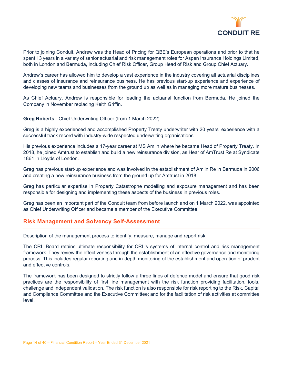

Prior to joining Conduit, Andrew was the Head of Pricing for QBE's European operations and prior to that he spent 13 years in a variety of senior actuarial and risk management roles for Aspen Insurance Holdings Limited, both in London and Bermuda, including Chief Risk Officer, Group Head of Risk and Group Chief Actuary.

Andrew's career has allowed him to develop a vast experience in the industry covering all actuarial disciplines and classes of insurance and reinsurance business. He has previous start-up experience and experience of developing new teams and businesses from the ground up as well as in managing more mature businesses.

As Chief Actuary, Andrew is responsible for leading the actuarial function from Bermuda. He joined the Company in November replacing Keith Griffin.

#### **Greg Roberts** - Chief Underwriting Officer (from 1 March 2022)

Greg is a highly experienced and accomplished Property Treaty underwriter with 20 years' experience with a successful track record with industry-wide respected underwriting organisations.

His previous experience includes a 17-year career at MS Amlin where he became Head of Property Treaty. In 2018, he joined Amtrust to establish and build a new reinsurance division, as Hear of AmTrust Re at Syndicate 1861 in Lloyds of London.

Greg has previous start-up experience and was involved in the establishment of Amlin Re in Bermuda in 2006 and creating a new reinsurance business from the ground up for Amtrust in 2018.

Greg has particular expertise in Property Catastrophe modelling and exposure management and has been responsible for designing and implementing these aspects of the business in previous roles.

Greg has been an important part of the Conduit team from before launch and on 1 March 2022, was appointed as Chief Underwriting Officer and became a member of the Executive Committee.

#### **Risk Management and Solvency Self-Assessment**

Description of the management process to identify, measure, manage and report risk

The CRL Board retains ultimate responsibility for CRL's systems of internal control and risk management framework. They review the effectiveness through the establishment of an effective governance and monitoring process. This includes regular reporting and in-depth monitoring of the establishment and operation of prudent and effective controls.

The framework has been designed to strictly follow a three lines of defence model and ensure that good risk practices are the responsibility of first line management with the risk function providing facilitation, tools, challenge and independent validation. The risk function is also responsible for risk reporting to the Risk, Capital and Compliance Committee and the Executive Committee; and for the facilitation of risk activities at committee level.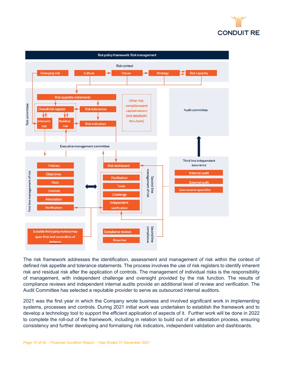



The risk framework addresses the identification, assessment and management of risk within the context of defined risk appetite and tolerance statements. The process involves the use of risk registers to identify inherent risk and residual risk after the application of controls. The management of individual risks is the responsibility of management, with independent challenge and oversight provided by the risk function. The results of compliance reviews and independent internal audits provide an additional level of review and verification. The Audit Committee has selected a reputable provider to serve as outsourced internal auditors.

2021 was the first year in which the Company wrote business and involved significant work in implementing systems, processes and controls. During 2021 initial work was undertaken to establish the framework and to develop a technology tool to support the efficient application of aspects of it. Further work will be done in 2022 to complete the roll-out of the framework, including in relation to build out of an attestation process, ensuring consistency and further developing and formalising risk indicators, independent validation and dashboards.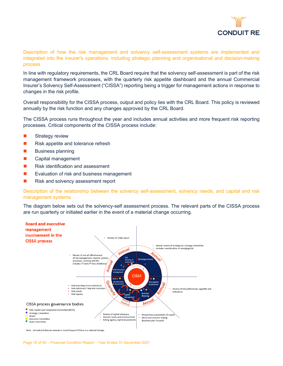

Description of how the risk management and solvency self-assessment systems are implemented and integrated into the insurer's operations; including strategic planning and organisational and decision-making process

In line with regulatory requirements, the CRL Board require that the solvency self-assessment is part of the risk management framework processes, with the quarterly risk appetite dashboard and the annual Commercial Insurer's Solvency Self-Assessment ("CISSA") reporting being a trigger for management actions in response to changes in the risk profile.

Overall responsibility for the CISSA process, output and policy lies with the CRL Board. This policy is reviewed annually by the risk function and any changes approved by the CRL Board.

The CISSA process runs throughout the year and includes annual activities and more frequent risk reporting processes. Critical components of the CISSA process include:

- **Strategy review**
- Risk appetite and tolerance refresh
- $\blacksquare$  Business planning
- **Capital management**
- **Risk identification and assessment**
- Evaluation of risk and business management
- Risk and solvency assessment report

Description of the relationship between the solvency self-assessment, solvency needs, and capital and risk management systems

The diagram below sets out the solvency-self assessment process. The relevant parts of the CISSA process are run quarterly or initiated earlier in the event of a material change occurring.



Note - Annual activities are annual or more frequent if there is a material change.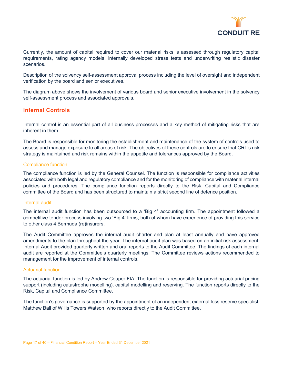

Currently, the amount of capital required to cover our material risks is assessed through regulatory capital requirements, rating agency models, internally developed stress tests and underwriting realistic disaster scenarios.

Description of the solvency self-assessment approval process including the level of oversight and independent verification by the board and senior executives.

The diagram above shows the involvement of various board and senior executive involvement in the solvency self-assessment process and associated approvals.

#### **Internal Controls**

Internal control is an essential part of all business processes and a key method of mitigating risks that are inherent in them.

The Board is responsible for monitoring the establishment and maintenance of the system of controls used to assess and manage exposure to all areas of risk. The objectives of these controls are to ensure that CRL's risk strategy is maintained and risk remains within the appetite and tolerances approved by the Board.

#### Compliance function

The compliance function is led by the General Counsel. The function is responsible for compliance activities associated with both legal and regulatory compliance and for the monitoring of compliance with material internal policies and procedures. The compliance function reports directly to the Risk, Capital and Compliance committee of the Board and has been structured to maintain a strict second line of defence position.

#### Internal audit

The internal audit function has been outsourced to a 'Big 4' accounting firm. The appointment followed a competitive tender process involving two 'Big 4' firms, both of whom have experience of providing this service to other class 4 Bermuda (re)insurers.

The Audit Committee approves the internal audit charter and plan at least annually and have approved amendments to the plan throughout the year. The internal audit plan was based on an initial risk assessment. Internal Audit provided quarterly written and oral reports to the Audit Committee. The findings of each internal audit are reported at the Committee's quarterly meetings. The Committee reviews actions recommended to management for the improvement of internal controls.

#### Actuarial function

The actuarial function is led by Andrew Couper FIA. The function is responsible for providing actuarial pricing support (including catastrophe modelling), capital modelling and reserving. The function reports directly to the Risk, Capital and Compliance Committee.

The function's governance is supported by the appointment of an independent external loss reserve specialist, Matthew Ball of Willis Towers Watson, who reports directly to the Audit Committee.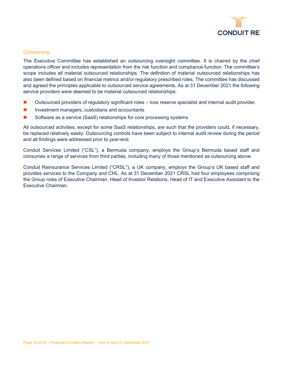

#### **Outsourcing**

The Executive Committee has established an outsourcing oversight committee. It is chaired by the chief operations officer and includes representation from the risk function and compliance function. The committee's scope includes all material outsourced relationships. The definition of material outsourced relationships has also been defined based on financial metrics and/or regulatory prescribed roles. The committee has discussed and agreed the principles applicable to outsourced service agreements. As at 31 December 2021 the following service providers were deemed to be material outsourced relationships:

- Outsourced providers of regulatory significant roles loss reserve specialist and internal audit provider.
- **Investment managers, custodians and accountants**
- Software as a service (SaaS) relationships for core processing systems

All outsourced activities, except for some SaaS relationships, are such that the providers could, if necessary, be replaced relatively easily. Outsourcing controls have been subject to internal audit review during the period and all findings were addressed prior to year-end.

Conduit Services Limited ("CSL"), a Bermuda company, employs the Group's Bermuda based staff and consumes a range of services from third parties, including many of those mentioned as outsourcing above.

Conduit Reinsurance Services Limited ("CRSL"), a UK company, employs the Group's UK based staff and provides services to the Company and CHL. As at 31 December 2021 CRSL had four employees comprising the Group roles of Executive Chairman, Head of Investor Relations, Head of IT and Executive Assistant to the Executive Chairman.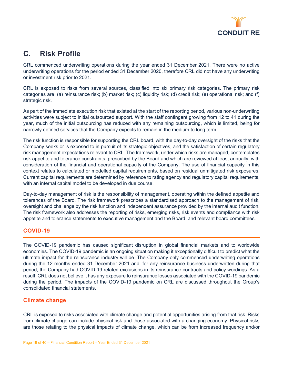

## <span id="page-19-0"></span>**C. Risk Profile**

CRL commenced underwriting operations during the year ended 31 December 2021. There were no active underwriting operations for the period ended 31 December 2020, therefore CRL did not have any underwriting or investment risk prior to 2021.

CRL is exposed to risks from several sources, classified into six primary risk categories. The primary risk categories are: (a) reinsurance risk; (b) market risk; (c) liquidity risk; (d) credit risk; (e) operational risk; and (f) strategic risk.

As part of the immediate execution risk that existed at the start of the reporting period, various non-underwriting activities were subject to initial outsourced support. With the staff contingent growing from 12 to 41 during the year, much of the initial outsourcing has reduced with any remaining outsourcing, which is limited, being for narrowly defined services that the Company expects to remain in the medium to long term.

The risk function is responsible for supporting the CRL board, with the day-to-day oversight of the risks that the Company seeks or is exposed to in pursuit of its strategic objectives, and the satisfaction of certain regulatory risk management expectations relevant to CRL. The framework, under which risks are managed, contemplates risk appetite and tolerance constraints, prescribed by the Board and which are reviewed at least annually, with consideration of the financial and operational capacity of the Company. The use of financial capacity in this context relates to calculated or modelled capital requirements, based on residual unmitigated risk exposures. Current capital requirements are determined by reference to rating agency and regulatory capital requirements, with an internal capital model to be developed in due course.

Day-to-day management of risk is the responsibility of management, operating within the defined appetite and tolerances of the Board. The risk framework prescribes a standardised approach to the management of risk, oversight and challenge by the risk function and independent assurance provided by the internal audit function. The risk framework also addresses the reporting of risks, emerging risks, risk events and compliance with risk appetite and tolerance statements to executive management and the Board, and relevant board committees.

#### **COVID-19**

The COVID-19 pandemic has caused significant disruption in global financial markets and to worldwide economies. The COVID-19 pandemic is an ongoing situation making it exceptionally difficult to predict what the ultimate impact for the reinsurance industry will be. The Company only commenced underwriting operations during the 12 months ended 31 December 2021 and, for any reinsurance business underwritten during that period, the Company had COVID-19 related exclusions in its reinsurance contracts and policy wordings. As a result, CRL does not believe it has any exposure to reinsurance losses associated with the COVID-19 pandemic during the period. The impacts of the COVID-19 pandemic on CRL are discussed throughout the Group's consolidated financial statements.

#### **Climate change**

CRL is exposed to risks associated with climate change and potential opportunities arising from that risk. Risks from climate change can include physical risk and those associated with a changing economy. Physical risks are those relating to the physical impacts of climate change, which can be from increased frequency and/or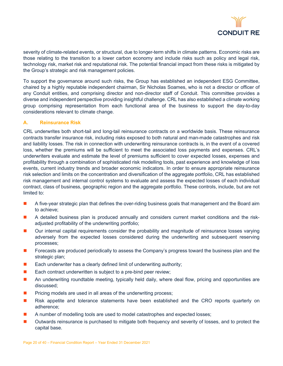

severity of climate-related events, or structural, due to longer-term shifts in climate patterns. Economic risks are those relating to the transition to a lower carbon economy and include risks such as policy and legal risk, technology risk, market risk and reputational risk. The potential financial impact from these risks is mitigated by the Group's strategic and risk management policies.

To support the governance around such risks, the Group has established an independent ESG Committee, chaired by a highly reputable independent chairman, Sir Nicholas Soames, who is not a director or officer of any Conduit entities, and comprising director and non-director staff of Conduit. This committee provides a diverse and independent perspective providing insightful challenge. CRL has also established a climate working group comprising representation from each functional area of the business to support the day-to-day considerations relevant to climate change.

#### **A. Reinsurance Risk**

CRL underwrites both short-tail and long-tail reinsurance contracts on a worldwide basis. These reinsurance contracts transfer insurance risk, including risks exposed to both natural and man-made catastrophes and risk and liability losses. The risk in connection with underwriting reinsurance contracts is, in the event of a covered loss, whether the premiums will be sufficient to meet the associated loss payments and expenses. CRL's underwriters evaluate and estimate the level of premiums sufficient to cover expected losses, expenses and profitability through a combination of sophisticated risk modelling tools, past experience and knowledge of loss events, current industry trends and broader economic indicators. In order to ensure appropriate reinsurance risk selection and limits on the concentration and diversification of the aggregate portfolio, CRL has established risk management and internal control systems to evaluate and assess the expected losses of each individual contract, class of business, geographic region and the aggregate portfolio. These controls, include, but are not limited to:

- **A** five-year strategic plan that defines the over-riding business goals that management and the Board aim to achieve;
- A detailed business plan is produced annually and considers current market conditions and the riskadjusted profitability of the underwriting portfolio;
- Our internal capital requirements consider the probability and magnitude of reinsurance losses varying adversely from the expected losses considered during the underwriting and subsequent reserving processes;
- **F** Forecasts are produced periodically to assess the Company's progress toward the business plan and the strategic plan;
- $\blacksquare$  Each underwriter has a clearly defined limit of underwriting authority;
- Each contract underwritten is subject to a pre-bind peer review;
- An underwriting roundtable meeting, typically held daily, where deal flow, pricing and opportunities are discussed;
- Pricing models are used in all areas of the underwriting process;
- Risk appetite and tolerance statements have been established and the CRO reports quarterly on adherence;
- A number of modelling tools are used to model catastrophes and expected losses;
- **Dutwards reinsurance is purchased to mitigate both frequency and severity of losses, and to protect the** capital base.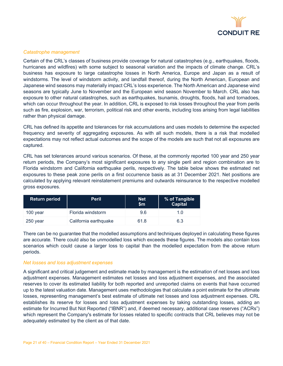

#### *Catastrophe management*

Certain of the CRL's classes of business provide coverage for natural catastrophes (e.g., earthquakes, floods, hurricanes and wildfires) with some subject to seasonal variation and the impacts of climate change. CRL's business has exposure to large catastrophe losses in North America, Europe and Japan as a result of windstorms. The level of windstorm activity, and landfall thereof, during the North American, European and Japanese wind seasons may materially impact CRL's loss experience. The North American and Japanese wind seasons are typically June to November and the European wind season November to March. CRL also has exposure to other natural catastrophes, such as earthquakes, tsunamis, droughts, floods, hail and tornadoes, which can occur throughout the year. In addition, CRL is exposed to risk losses throughout the year from perils such as fire, explosion, war, terrorism, political risk and other events, including loss arising from legal liabilities rather than physical damage.

CRL has defined its appetite and tolerances for risk accumulations and uses models to determine the expected frequency and severity of aggregating exposures. As with all such models, there is a risk that modelled expectations may not reflect actual outcomes and the scope of the models are such that not all exposures are captured.

CRL has set tolerances around various scenarios. Of these, at the commonly reported 100 year and 250 year return periods, the Company's most significant exposures to any single peril and region combination are to Florida windstorm and California earthquake perils, respectively. The table below shows the estimated net exposures to these peak zone perils on a first occurrence basis as at 31 December 2021. Net positions are calculated by applying relevant reinstatement premiums and outwards reinsurance to the respective modelled gross exposures.

| <b>Return period</b> | <b>Peril</b>          | <b>Net</b><br>$\mathsf{sm}$ | % of Tangible<br><b>Capital</b> |
|----------------------|-----------------------|-----------------------------|---------------------------------|
| 100 year             | Florida windstorm     | 96                          | 10                              |
| 250 year             | California earthquake | 61.8                        | 6.3                             |

There can be no guarantee that the modelled assumptions and techniques deployed in calculating these figures are accurate. There could also be unmodelled loss which exceeds these figures. The models also contain loss scenarios which could cause a larger loss to capital than the modelled expectation from the above return periods.

#### *Net losses and loss adjustment expenses*

A significant and critical judgement and estimate made by management is the estimation of net losses and loss adjustment expenses. Management estimates net losses and loss adjustment expenses, and the associated reserves to cover its estimated liability for both reported and unreported claims on events that have occurred up to the latest valuation date. Management uses methodologies that calculate a point estimate for the ultimate losses, representing management's best estimate of ultimate net losses and loss adjustment expenses. CRL establishes its reserve for losses and loss adjustment expenses by taking outstanding losses, adding an estimate for Incurred But Not Reported ("IBNR") and, if deemed necessary, additional case reserves ("ACRs") which represent the Company's estimate for losses related to specific contracts that CRL believes may not be adequately estimated by the client as of that date.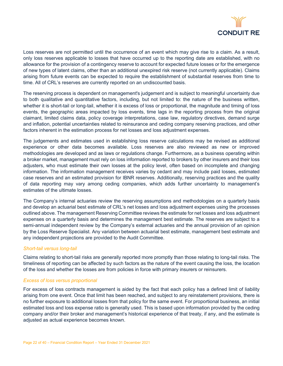

Loss reserves are not permitted until the occurrence of an event which may give rise to a claim. As a result, only loss reserves applicable to losses that have occurred up to the reporting date are established, with no allowance for the provision of a contingency reserve to account for expected future losses or for the emergence of new types of latent claims, other than an additional unexpired risk reserve (not currently applicable). Claims arising from future events can be expected to require the establishment of substantial reserves from time to time. All of CRL's reserves are currently reported on an undiscounted basis.

The reserving process is dependent on management's judgement and is subject to meaningful uncertainty due to both qualitative and quantitative factors, including, but not limited to: the nature of the business written, whether it is short-tail or long-tail, whether it is excess of loss or proportional, the magnitude and timing of loss events, the geographic areas impacted by loss events, time lags in the reporting process from the original claimant, limited claims data, policy coverage interpretations, case law, regulatory directives, demand surge and inflation, potential uncertainties related to reinsurance and ceding company reserving practices, and other factors inherent in the estimation process for net losses and loss adjustment expenses.

The judgements and estimates used in establishing loss reserve calculations may be revised as additional experience or other data becomes available. Loss reserves are also reviewed as new or improved methodologies are developed and as laws or regulations change. Furthermore, as a business operating within a broker market, management must rely on loss information reported to brokers by other insurers and their loss adjusters, who must estimate their own losses at the policy level, often based on incomplete and changing information. The information management receives varies by cedant and may include paid losses, estimated case reserves and an estimated provision for IBNR reserves. Additionally, reserving practices and the quality of data reporting may vary among ceding companies, which adds further uncertainty to management's estimates of the ultimate losses.

The Company's internal actuaries review the reserving assumptions and methodologies on a quarterly basis and develop an actuarial best estimate of CRL's net losses and loss adjustment expenses using the processes outlined above. The management Reserving Committee reviews the estimate for net losses and loss adjustment expenses on a quarterly basis and determines the management best estimate. The reserves are subject to a semi-annual independent review by the Company's external actuaries and the annual provision of an opinion by the Loss Reserve Specialist. Any variation between actuarial best estimate, management best estimate and any independent projections are provided to the Audit Committee.

#### *Short-tail versus long-tail*

Claims relating to short-tail risks are generally reported more promptly than those relating to long-tail risks. The timeliness of reporting can be affected by such factors as the nature of the event causing the loss, the location of the loss and whether the losses are from policies in force with primary insurers or reinsurers.

#### *Excess of loss versus proportional*

For excess of loss contracts management is aided by the fact that each policy has a defined limit of liability arising from one event. Once that limit has been reached, and subject to any reinstatement provisions, there is no further exposure to additional losses from that policy for the same event. For proportional business, an initial estimated loss and loss expense ratio is generally used. This is based upon information provided by the ceding company and/or their broker and management's historical experience of that treaty, if any, and the estimate is adjusted as actual experience becomes known.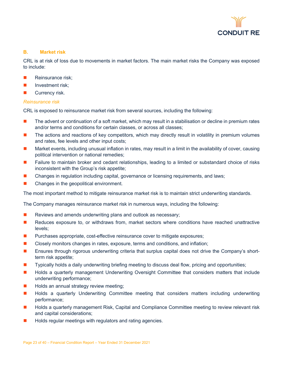

#### **B. Market risk**

CRL is at risk of loss due to movements in market factors. The main market risks the Company was exposed to include:

- Reinsurance risk;
- Investment risk;
- Currency risk.

#### *Reinsurance risk*

CRL is exposed to reinsurance market risk from several sources, including the following:

- The advent or continuation of a soft market, which may result in a stabilisation or decline in premium rates and/or terms and conditions for certain classes, or across all classes;
- The actions and reactions of key competitors, which may directly result in volatility in premium volumes and rates, fee levels and other input costs;
- Market events, including unusual inflation in rates, may result in a limit in the availability of cover, causing political intervention or national remedies;
- **F** Failure to maintain broker and cedant relationships, leading to a limited or substandard choice of risks inconsistent with the Group's risk appetite;
- Changes in regulation including capital, governance or licensing requirements, and laws;
- Changes in the geopolitical environment.

The most important method to mitigate reinsurance market risk is to maintain strict underwriting standards.

The Company manages reinsurance market risk in numerous ways, including the following:

- $\blacksquare$  Reviews and amends underwriting plans and outlook as necessary;
- Reduces exposure to, or withdraws from, market sectors where conditions have reached unattractive levels;
- **Purchases appropriate, cost-effective reinsurance cover to mitigate exposures;**
- **Closely monitors changes in rates, exposure, terms and conditions, and inflation;**
- **E** Ensures through rigorous underwriting criteria that surplus capital does not drive the Company's shortterm risk appetite;
- **T** Typically holds a daily underwriting briefing meeting to discuss deal flow, pricing and opportunities;
- **H** Holds a quarterly management Underwriting Oversight Committee that considers matters that include underwriting performance;
- Holds an annual strategy review meeting;
- Holds a quarterly Underwriting Committee meeting that considers matters including underwriting performance;
- Holds a quarterly management Risk, Capital and Compliance Committee meeting to review relevant risk and capital considerations;
- Holds regular meetings with regulators and rating agencies.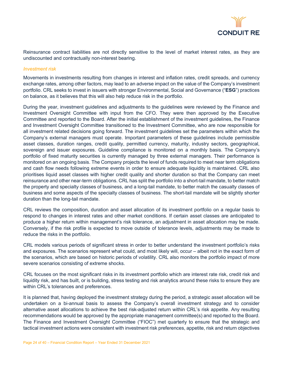

Reinsurance contract liabilities are not directly sensitive to the level of market interest rates, as they are undiscounted and contractually non-interest bearing.

#### *Investment risk*

Movements in investments resulting from changes in interest and inflation rates, credit spreads, and currency exchange rates, among other factors, may lead to an adverse impact on the value of the Company's investment portfolio. CRL seeks to invest in issuers with stronger Environmental, Social and Governance ("**ESG**") practices on balance, as it believes that this will also help reduce risk in the portfolio.

During the year, investment guidelines and adjustments to the guidelines were reviewed by the Finance and Investment Oversight Committee with input from the CFO. They were then approved by the Executive Committee and reported to the Board. After the initial establishment of the investment guidelines, the Finance and Investment Oversight Committee transitioned to the Investment Committee, who are now responsible for all investment related decisions going forward. The investment guidelines set the parameters within which the Company's external managers must operate. Important parameters of these guidelines include permissible asset classes, duration ranges, credit quality, permitted currency, maturity, industry sectors, geographical, sovereign and issuer exposures. Guideline compliance is monitored on a monthly basis. The Company's portfolio of fixed maturity securities is currently managed by three external managers. Their performance is monitored on an ongoing basis. The Company projects the level of funds required to meet near term obligations and cash flow needs following extreme events in order to ensure adequate liquidity is maintained. CRL also prioritises liquid asset classes with higher credit quality and shorter duration so that the Company can meet reinsurance and other near-term obligations. CRL has split the portfolio into a short-tail mandate, to better match the property and specialty classes of business, and a long-tail mandate, to better match the casualty classes of business and some aspects of the specialty classes of business. The short-tail mandate will be slightly shorter duration than the long-tail mandate.

CRL reviews the composition, duration and asset allocation of its investment portfolio on a regular basis to respond to changes in interest rates and other market conditions. If certain asset classes are anticipated to produce a higher return within management's risk tolerance, an adjustment in asset allocation may be made. Conversely, if the risk profile is expected to move outside of tolerance levels, adjustments may be made to reduce the risks in the portfolio.

CRL models various periods of significant stress in order to better understand the investment portfolio's risks and exposures. The scenarios represent what could, and most likely will, occur – albeit not in the exact form of the scenarios, which are based on historic periods of volatility. CRL also monitors the portfolio impact of more severe scenarios consisting of extreme shocks.

CRL focuses on the most significant risks in its investment portfolio which are interest rate risk, credit risk and liquidity risk, and has built, or is building, stress testing and risk analytics around these risks to ensure they are within CRL's tolerances and preferences.

It is planned that, having deployed the investment strategy during the period, a strategic asset allocation will be undertaken on a bi-annual basis to assess the Company's overall investment strategy and to consider alternative asset allocations to achieve the best risk-adjusted return within CRL's risk appetite. Any resulting recommendations would be approved by the appropriate management committee(s) and reported to the Board. The Finance and Investment Oversight Committee ("FIOC") met quarterly to ensure that the strategic and tactical investment actions were consistent with investment risk preferences, appetite, risk and return objectives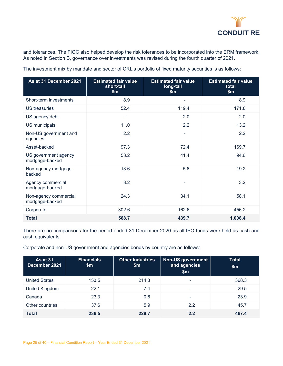

and tolerances. The FIOC also helped develop the risk tolerances to be incorporated into the ERM framework. As noted in Section B, governance over investments was revised during the fourth quarter of 2021.

**As at 31 December 2021 Estimated fair value short-tail \$m Estimated fair value long-tail \$m Estimated fair value total \$m** Short-term investments 8.9 and 8.9 and 8.9 and 8.9 and 8.9 and 8.9 and 8.9 and 8.9 and 8.9 and 8.9 and 8.9 and 8.9 and 8.9 and 8.9 and 8.9 and 8.9 and 8.9 and 8.9 and 8.9 and 8.9 and 8.9 and 8.9 and 8.9 and 8.9 and 8.9 and US treasuries 52.4 119.4 171.8 US agency debt 2.0 2.0 US municipals 11.0 11.0 2.2 13.2 Non-US government and agencies  $2.2$  2.2 Asset-backed 169.7 97.3 97.3 72.4 169.7 US government agency mortgage-backed 53.2 41.4 94.6 Non-agency mortgagebacked 13.6 5.6 19.2 Agency commercial mortgage-backed  $3.2$   $3.2$ Non-agency commercial mortgage-backed 24.3 34.1 58.1  $\text{Corporate} \quad \text{302.6} \quad \text{162.6} \quad \text{456.2}$ **Total 568.7 439.7 1,008.4**

The investment mix by mandate and sector of CRL's portfolio of fixed maturity securities is as follows:

There are no comparisons for the period ended 31 December 2020 as all IPO funds were held as cash and cash equivalents.

Corporate and non-US government and agencies bonds by country are as follows:

| As at 31<br>December 2021 | <b>Financials</b><br>\$m\$ | <b>Other industries</b><br>\$m | <b>Non-US government</b><br>and agencies<br>\$m\$ | <b>Total</b><br>\$m\$ |
|---------------------------|----------------------------|--------------------------------|---------------------------------------------------|-----------------------|
| <b>United States</b>      | 153.5                      | 214.8                          | $\overline{\phantom{a}}$                          | 368.3                 |
| United Kingdom            | 22.1                       | 7.4                            | $\overline{\phantom{0}}$                          | 29.5                  |
| Canada                    | 23.3                       | 0.6                            | $\overline{\phantom{0}}$                          | 23.9                  |
| Other countries           | 37.6                       | 5.9                            | 2.2                                               | 45.7                  |
| <b>Total</b>              | 236.5                      | 228.7                          | 2.2                                               | 467.4                 |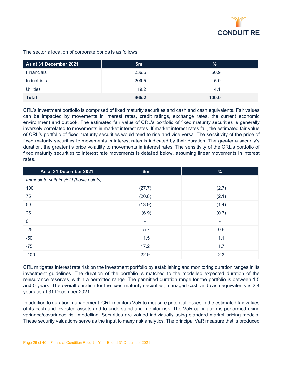

The sector allocation of corporate bonds is as follows:

| As at 31 December 2021 | \$m   | %     |
|------------------------|-------|-------|
| Financials             | 236.5 | 50.9  |
| <b>Industrials</b>     | 209.5 | 5.0   |
| <b>Utilities</b>       | 19.2  | 4.1   |
| <b>Total</b>           | 465.2 | 100.0 |

CRL's investment portfolio is comprised of fixed maturity securities and cash and cash equivalents. Fair values can be impacted by movements in interest rates, credit ratings, exchange rates, the current economic environment and outlook. The estimated fair value of CRL's portfolio of fixed maturity securities is generally inversely correlated to movements in market interest rates. If market interest rates fall, the estimated fair value of CRL's portfolio of fixed maturity securities would tend to rise and vice versa. The sensitivity of the price of fixed maturity securities to movements in interest rates is indicated by their duration. The greater a security's duration, the greater its price volatility to movements in interest rates. The sensitivity of the CRL's portfolio of fixed maturity securities to interest rate movements is detailed below, assuming linear movements in interest rates.

| As at 31 December 2021                  | \$m\$  | $\frac{9}{6}$ |
|-----------------------------------------|--------|---------------|
| Immediate shift in yield (basis points) |        |               |
| 100                                     | (27.7) | (2.7)         |
| 75                                      | (20.8) | (2.1)         |
| 50                                      | (13.9) | (1.4)         |
| 25                                      | (6.9)  | (0.7)         |
| $\mathbf 0$                             | ٠      | ٠             |
| $-25$                                   | 5.7    | 0.6           |
| $-50$                                   | 11.5   | 1.1           |
| $-75$                                   | 17.2   | 1.7           |
| $-100$                                  | 22.9   | 2.3           |

CRL mitigates interest rate risk on the investment portfolio by establishing and monitoring duration ranges in its investment guidelines. The duration of the portfolio is matched to the modelled expected duration of the reinsurance reserves, within a permitted range. The permitted duration range for the portfolio is between 1.5 and 5 years. The overall duration for the fixed maturity securities, managed cash and cash equivalents is 2.4 years as at 31 December 2021.

In addition to duration management, CRL monitors VaR to measure potential losses in the estimated fair values of its cash and invested assets and to understand and monitor risk. The VaR calculation is performed using variance/covariance risk modelling. Securities are valued individually using standard market pricing models. These security valuations serve as the input to many risk analytics. The principal VaR measure that is produced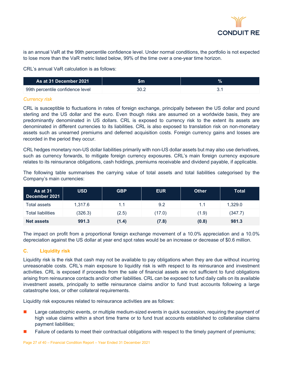

is an annual VaR at the 99th percentile confidence level. Under normal conditions, the portfolio is not expected to lose more than the VaR metric listed below, 99% of the time over a one-year time horizon.

CRL's annual VaR calculation is as follows:

| As at 31 December 2021           | \$m  | $\%$ |
|----------------------------------|------|------|
| 99th percentile confidence level | 30.2 |      |

#### *Currency risk*

CRL is susceptible to fluctuations in rates of foreign exchange, principally between the US dollar and pound sterling and the US dollar and the euro. Even though risks are assumed on a worldwide basis, they are predominantly denominated in US dollars. CRL is exposed to currency risk to the extent its assets are denominated in different currencies to its liabilities. CRL is also exposed to translation risk on non-monetary assets such as unearned premiums and deferred acquisition costs. Foreign currency gains and losses are recorded in the period they occur.

CRL hedges monetary non-US dollar liabilities primarily with non-US dollar assets but may also use derivatives, such as currency forwards, to mitigate foreign currency exposures. CRL's main foreign currency exposure relates to its reinsurance obligations, cash holdings, premiums receivable and dividend payable, if applicable.

The following table summarises the carrying value of total assets and total liabilities categorised by the Company's main currencies:

| <b>As at 31</b><br>December 2021 | <b>USD</b> | <b>GBP</b> | <b>EUR</b> | <b>Other</b> | <b>Total</b> |
|----------------------------------|------------|------------|------------|--------------|--------------|
| Total assets                     | 1.317.6    | 1.1        | 9.2        | 1.1          | 1.329.0      |
| Total liabilities                | (326.3)    | (2.5)      | (17.0)     | (1.9)        | (347.7)      |
| <b>Net assets</b>                | 991.3      | (1.4)      | (7.8)      | (0.8)        | 981.3        |

The impact on profit from a proportional foreign exchange movement of a 10.0% appreciation and a 10.0% depreciation against the US dollar at year end spot rates would be an increase or decrease of \$0.6 million.

#### **C. Liquidity risk**

Liquidity risk is the risk that cash may not be available to pay obligations when they are due without incurring unreasonable costs. CRL's main exposure to liquidity risk is with respect to its reinsurance and investment activities. CRL is exposed if proceeds from the sale of financial assets are not sufficient to fund obligations arising from reinsurance contacts and/or other liabilities. CRL can be exposed to fund daily calls on its available investment assets, principally to settle reinsurance claims and/or to fund trust accounts following a large catastrophe loss, or other collateral requirements.

Liquidity risk exposures related to reinsurance activities are as follows:

- **Large catastrophic events, or multiple medium-sized events in quick succession, requiring the payment of** high value claims within a short time frame or to fund trust accounts established to collateralise claims payment liabilities;
- Failure of cedants to meet their contractual obligations with respect to the timely payment of premiums;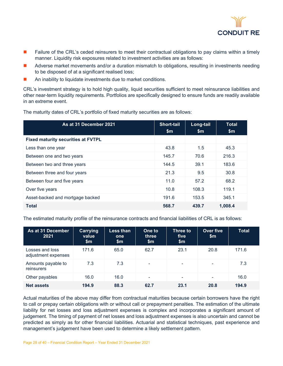

- Failure of the CRL's ceded reinsurers to meet their contractual obligations to pay claims within a timely manner. Liquidity risk exposures related to investment activities are as follows:
- Adverse market movements and/or a duration mismatch to obligations, resulting in investments needing to be disposed of at a significant realised loss;
- An inability to liquidate investments due to market conditions.

CRL's investment strategy is to hold high quality, liquid securities sufficient to meet reinsurance liabilities and other near-term liquidity requirements. Portfolios are specifically designed to ensure funds are readily available in an extreme event.

The maturity dates of CRL's portfolio of fixed maturity securities are as follows:

| As at 31 December 2021                    | <b>Short-tail</b><br>\$m | Long-tail<br>$\mathsf{Sm}$ | <b>Total</b><br>$\mathsf{Sm}$ |
|-------------------------------------------|--------------------------|----------------------------|-------------------------------|
| <b>Fixed maturity securities at FVTPL</b> |                          |                            |                               |
| Less than one year                        | 43.8                     | 1.5                        | 45.3                          |
| Between one and two years                 | 145.7                    | 70.6                       | 216.3                         |
| Between two and three years               | 144.5                    | 39.1                       | 183.6                         |
| Between three and four years              | 21.3                     | 9.5                        | 30.8                          |
| Between four and five years               | 11.0                     | 57.2                       | 68.2                          |
| Over five years                           | 10.8                     | 108.3                      | 119.1                         |
| Asset-backed and mortgage backed          | 191.6                    | 153.5                      | 345.1                         |
| <b>Total</b>                              | 568.7                    | 439.7                      | 1,008.4                       |

The estimated maturity profile of the reinsurance contracts and financial liabilities of CRL is as follows:

| As at 31 December<br>2021              | Carrying<br>value<br>$\mathsf{Sm}$ | Less than<br>one<br>\$m | One to<br>three<br>\$m\$ | Three to<br>five<br>\$m\$ | Over five<br>\$m\$ | <b>Total</b> |
|----------------------------------------|------------------------------------|-------------------------|--------------------------|---------------------------|--------------------|--------------|
| Losses and loss<br>adjustment expenses | 171.6                              | 65.0                    | 62.7                     | 23.1                      | 20.8               | 171.6        |
| Amounts payable to<br>reinsurers       | 7.3                                | 7.3                     | $\overline{\phantom{a}}$ | ۰                         | ۰                  | 7.3          |
| Other payables                         | 16.0                               | 16.0                    | $\overline{\phantom{a}}$ | ٠                         | -                  | 16.0         |
| <b>Net assets</b>                      | 194.9                              | 88.3                    | 62.7                     | 23.1                      | 20.8               | 194.9        |

Actual maturities of the above may differ from contractual maturities because certain borrowers have the right to call or prepay certain obligations with or without call or prepayment penalties. The estimation of the ultimate liability for net losses and loss adjustment expenses is complex and incorporates a significant amount of judgement. The timing of payment of net losses and loss adjustment expenses is also uncertain and cannot be predicted as simply as for other financial liabilities. Actuarial and statistical techniques, past experience and management's judgement have been used to determine a likely settlement pattern.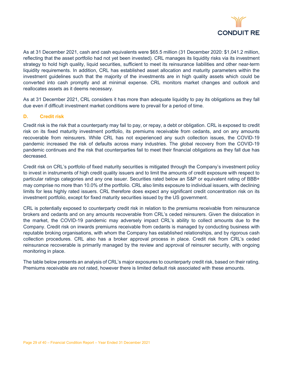

As at 31 December 2021, cash and cash equivalents were \$65.5 million (31 December 2020: \$1,041.2 million, reflecting that the asset portfolio had not yet been invested). CRL manages its liquidity risks via its investment strategy to hold high quality, liquid securities, sufficient to meet its reinsurance liabilities and other near-term liquidity requirements. In addition, CRL has established asset allocation and maturity parameters within the investment guidelines such that the majority of the investments are in high quality assets which could be converted into cash promptly and at minimal expense. CRL monitors market changes and outlook and reallocates assets as it deems necessary.

As at 31 December 2021, CRL considers it has more than adequate liquidity to pay its obligations as they fall due even if difficult investment market conditions were to prevail for a period of time.

#### **D. Credit risk**

Credit risk is the risk that a counterparty may fail to pay, or repay, a debt or obligation. CRL is exposed to credit risk on its fixed maturity investment portfolio, its premiums receivable from cedants, and on any amounts recoverable from reinsurers. While CRL has not experienced any such collection issues, the COVID-19 pandemic increased the risk of defaults across many industries. The global recovery from the COVID-19 pandemic continues and the risk that counterparties fail to meet their financial obligations as they fall due has decreased.

Credit risk on CRL's portfolio of fixed maturity securities is mitigated through the Company's investment policy to invest in instruments of high credit quality issuers and to limit the amounts of credit exposure with respect to particular ratings categories and any one issuer. Securities rated below an S&P or equivalent rating of BBB+ may comprise no more than 10.0% of the portfolio. CRL also limits exposure to individual issuers, with declining limits for less highly rated issuers. CRL therefore does expect any significant credit concentration risk on its investment portfolio, except for fixed maturity securities issued by the US government.

CRL is potentially exposed to counterparty credit risk in relation to the premiums receivable from reinsurance brokers and cedants and on any amounts recoverable from CRL's ceded reinsurers. Given the dislocation in the market, the COVID-19 pandemic may adversely impact CRL's ability to collect amounts due to the Company. Credit risk on inwards premiums receivable from cedants is managed by conducting business with reputable broking organisations, with whom the Company has established relationships, and by rigorous cash collection procedures. CRL also has a broker approval process in place. Credit risk from CRL's ceded reinsurance recoverable is primarily managed by the review and approval of reinsurer security, with ongoing monitoring in place.

The table below presents an analysis of CRL's major exposures to counterparty credit risk, based on their rating. Premiums receivable are not rated, however there is limited default risk associated with these amounts.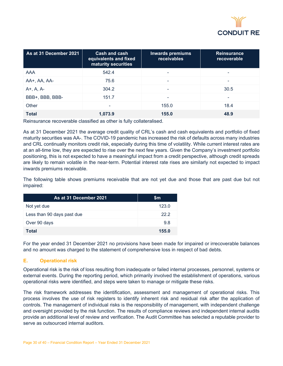

| As at 31 December 2021 | Cash and cash<br>equivalents and fixed<br>maturity securities | <b>Inwards premiums</b><br>receivables | <b>Reinsurance</b><br>recoverable |
|------------------------|---------------------------------------------------------------|----------------------------------------|-----------------------------------|
| <b>AAA</b>             | 542.4                                                         | -                                      |                                   |
| AA+, AA, AA-           | 75.6                                                          |                                        | ۰                                 |
| $A+$ , $A$ , $A-$      | 304.2                                                         | -                                      | 30.5                              |
| BBB+, BBB, BBB-        | 151.7                                                         | -                                      | ۰                                 |
| Other                  | $\overline{\phantom{0}}$                                      | 155.0                                  | 18.4                              |
| <b>Total</b>           | 1,073.9                                                       | 155.0                                  | 48.9                              |

Reinsurance recoverable classified as other is fully collateralised.

As at 31 December 2021 the average credit quality of CRL's cash and cash equivalents and portfolio of fixed maturity securities was AA-. The COVID-19 pandemic has increased the risk of defaults across many industries and CRL continually monitors credit risk, especially during this time of volatility. While current interest rates are at an all-time low, they are expected to rise over the next few years. Given the Company's investment portfolio positioning, this is not expected to have a meaningful impact from a credit perspective, although credit spreads are likely to remain volatile in the near-term. Potential interest rate rises are similarly not expected to impact inwards premiums receivable.

The following table shows premiums receivable that are not yet due and those that are past due but not impaired:

| As at 31 December 2021.    | \$m   |
|----------------------------|-------|
| Not yet due                | 123.0 |
| Less than 90 days past due | 222   |
| Over 90 days               | 9.8   |
| Total                      | 155.0 |

For the year ended 31 December 2021 no provisions have been made for impaired or irrecoverable balances and no amount was charged to the statement of comprehensive loss in respect of bad debts.

#### **E. Operational risk**

Operational risk is the risk of loss resulting from inadequate or failed internal processes, personnel, systems or external events. During the reporting period, which primarily involved the establishment of operations, various operational risks were identified, and steps were taken to manage or mitigate these risks.

The risk framework addresses the identification, assessment and management of operational risks. This process involves the use of risk registers to identify inherent risk and residual risk after the application of controls. The management of individual risks is the responsibility of management, with independent challenge and oversight provided by the risk function. The results of compliance reviews and independent internal audits provide an additional level of review and verification. The Audit Committee has selected a reputable provider to serve as outsourced internal auditors.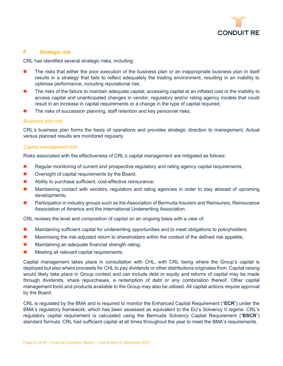

#### **F. Strategic risk**

CRL has identified several strategic risks, including:

- **The risks that either the poor execution of the business plan or an inappropriate business plan in itself** results in a strategy that fails to reflect adequately the trading environment, resulting in an inability to optimise performance, including reputational risk;
- The risks of the failure to maintain adequate capital, accessing capital at an inflated cost or the inability to access capital and unanticipated changes in vendor, regulatory and/or rating agency models that could result in an increase in capital requirements or a change in the type of capital required;
- The risks of succession planning, staff retention and key personnel risks.

#### *Business plan risk*

CRL's business plan forms the basis of operations and provides strategic direction to management. Actual versus planned results are monitored regularly.

#### *Capital management risk*

Risks associated with the effectiveness of CRL's capital management are mitigated as follows:

- Regular monitoring of current and prospective regulatory and rating agency capital requirements;
- $\blacksquare$  Oversight of capital requirements by the Board;
- Ability to purchase sufficient, cost-effective reinsurance;
- **Maintaining contact with vendors, regulators and rating agencies in order to stay abreast of upcoming** developments;
- Participation in industry groups such as the Association of Bermuda Insurers and Reinsurers, Reinsurance Association of America and the International Underwriting Association.

CRL reviews the level and composition of capital on an ongoing basis with a view of:

- **Maintaining sufficient capital for underwriting opportunities and to meet obligations to policyholders;**
- **Maximising the risk-adjusted return to shareholders within the context of the defined risk appetite;**
- **Maintaining an adequate financial strength rating;**
- $\blacksquare$  Meeting all relevant capital requirements.

Capital management takes place in consultation with CHL, with CRL being where the Group's capital is deployed but also where proceeds for CHL to pay dividends or other distributions originates from. Capital raising would likely take place in Group context and can include debt or equity and returns of capital may be made through dividends, share repurchases, a redemption of debt or any combination thereof. Other capital management tools and products available to the Group may also be utilised. All capital actions require approval by the Board.

CRL is regulated by the BMA and is required to monitor the Enhanced Capital Requirement ("**ECR**") under the BMA's regulatory framework, which has been assessed as equivalent to the EU's Solvency II regime. CRL's regulatory capital requirement is calculated using the Bermuda Solvency Capital Requirement ("**BSCR**") standard formula. CRL had sufficient capital at all times throughout the year to meet the BMA's requirements.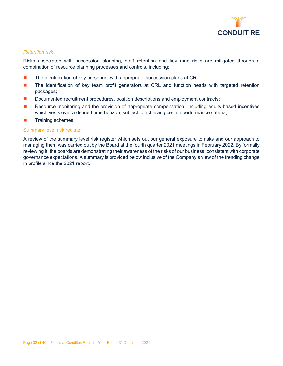

#### *Retention risk*

Risks associated with succession planning, staff retention and key man risks are mitigated through a combination of resource planning processes and controls, including:

- The identification of key personnel with appropriate succession plans at CRL;
- **The identification of key team profit generators at CRL and function heads with targeted retention** packages;
- Documented recruitment procedures, position descriptions and employment contracts;
- Resource monitoring and the provision of appropriate compensation, including equity-based incentives which vests over a defined time horizon, subject to achieving certain performance criteria;
- **Training schemes.**

#### Summary level risk register

A review of the summary level risk register which sets out our general exposure to risks and our approach to managing them was carried out by the Board at the fourth quarter 2021 meetings in February 2022. By formally reviewing it, the boards are demonstrating their awareness of the risks of our business, consistent with corporate governance expectations. A summary is provided below inclusive of the Company's view of the trending change in profile since the 2021 report.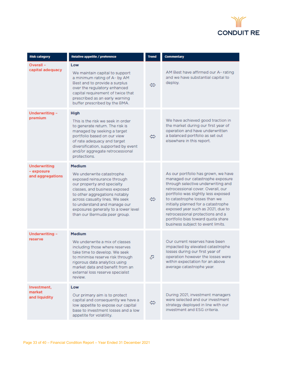

| <b>Risk category</b>           | Relative appetite / preference                                                                                                                                                                                                                                                                     | <b>Trend</b> | <b>Commentary</b>                                                                                                                                                                                                                                                                                                                                                                                                     |
|--------------------------------|----------------------------------------------------------------------------------------------------------------------------------------------------------------------------------------------------------------------------------------------------------------------------------------------------|--------------|-----------------------------------------------------------------------------------------------------------------------------------------------------------------------------------------------------------------------------------------------------------------------------------------------------------------------------------------------------------------------------------------------------------------------|
| Overall-<br>capital adequacy   | Low<br>We maintain capital to support<br>a minimum rating of A- by AM<br>Best and to provide a surplus                                                                                                                                                                                             | ⇔            | AM Best have affirmed our A-rating<br>and we have substantial capital to<br>deploy.                                                                                                                                                                                                                                                                                                                                   |
|                                | over the regulatory enhanced<br>capital requirement of twice that<br>prescribed as an early warning<br>buffer prescribed by the BMA.                                                                                                                                                               |              |                                                                                                                                                                                                                                                                                                                                                                                                                       |
| Underwriting -<br>premium      | <b>High</b><br>This is the risk we seek in order                                                                                                                                                                                                                                                   |              | We have achieved good traction in                                                                                                                                                                                                                                                                                                                                                                                     |
|                                | to generate return. The risk is<br>managed by seeking a target<br>portfolio based on our view<br>of rate adequacy and target<br>diversification, supported by event<br>and/or aggregate retrocessional<br>protections.                                                                             | ⇔            | the market during our first year of<br>operation and have underwritten<br>a balanced portfolio as set out<br>elsewhere in this report.                                                                                                                                                                                                                                                                                |
| <b>Underwriting</b>            | <b>Medium</b>                                                                                                                                                                                                                                                                                      |              |                                                                                                                                                                                                                                                                                                                                                                                                                       |
| - exposure<br>and aggregations | We underwrite catastrophe<br>exposed reinsurance through<br>our property and specialty<br>classes, and business exposed<br>to other aggregations notably<br>across casualty lines. We seek<br>to understand and manage our<br>exposures generally to a lower level<br>than our Bermuda peer group. | ⇔            | As our portfolio has grown, we have<br>managed our catastrophe exposure<br>through selective underwriting and<br>retrocessional cover. Overall, our<br>portfolio was slightly less exposed<br>to catastrophe losses than we<br>initially planned for a catastrophe<br>exposed year such as 2021, due to<br>retrocessional protections and a<br>portfolio bias toward quota share<br>business subject to event limits. |
| Underwriting -                 | <b>Medium</b>                                                                                                                                                                                                                                                                                      |              |                                                                                                                                                                                                                                                                                                                                                                                                                       |
| reserve                        | We underwrite a mix of classes<br>including those where reserves<br>take time to develop. We seek<br>to minimise reserve risk through<br>rigorous data analytics using<br>market data and benefit from an<br>external loss reserve specialist<br>review.                                           | A            | Our current reserves have been<br>impacted by elevated catastrophe<br>losses during our first year of<br>operation however the losses were<br>within expectation for an above<br>average catastrophe year.                                                                                                                                                                                                            |
| Investment,                    | Low                                                                                                                                                                                                                                                                                                |              |                                                                                                                                                                                                                                                                                                                                                                                                                       |
| market<br>and liquidity        | Our primary aim is to protect<br>capital and consequently we have a<br>low appetite to expose our capital<br>base to investment losses and a low<br>appetite for volatility.                                                                                                                       | ⇔            | During 2021, investment managers<br>were selected and our investment<br>strategy deployed in line with our<br>investment and ESG criteria.                                                                                                                                                                                                                                                                            |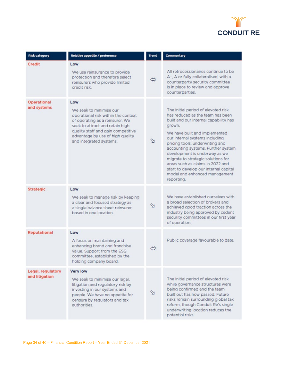

| <b>Risk category</b>                | Relative appetite / preference                                                                                                                                                                                                                   | <b>Trend</b>      | Commentary                                                                                                                                                                                                                                                                                                                                                                                                                                                                |
|-------------------------------------|--------------------------------------------------------------------------------------------------------------------------------------------------------------------------------------------------------------------------------------------------|-------------------|---------------------------------------------------------------------------------------------------------------------------------------------------------------------------------------------------------------------------------------------------------------------------------------------------------------------------------------------------------------------------------------------------------------------------------------------------------------------------|
| Credit                              | Low<br>We use reinsurance to provide<br>protection and therefore select<br>reinsurers who provide limited<br>credit risk.                                                                                                                        | $\Leftrightarrow$ | All retrocessionaires continue to be<br>A-, A or fully collateralised, with a<br>counterparty security committee<br>is in place to review and approve<br>counterparties.                                                                                                                                                                                                                                                                                                  |
| Operational<br>and systems          | Low<br>We seek to minimise our<br>operational risk within the context<br>of operating as a reinsurer. We<br>seek to attract and retain high<br>quality staff and gain competitive<br>advantage by use of high quality<br>and integrated systems. | ⇘                 | The initial period of elevated risk<br>has reduced as the team has been<br>built and our internal capability has<br>grown.<br>We have built and implemented<br>our internal systems including<br>pricing tools, underwriting and<br>accounting systems. Further system<br>development is underway as we<br>migrate to strategic solutions for<br>areas such as claims in 2022 and<br>start to develop our internal capital<br>model and enhanced management<br>reporting. |
| <b>Strategic</b>                    | Low<br>We seek to manage risk by keeping<br>a clear and focused strategy as<br>a single balance sheet reinsurer<br>based in one location.                                                                                                        | $\mathfrak{Q}$    | We have established ourselves with<br>a broad selection of brokers and<br>achieved good traction across the<br>industry being approved by cedent<br>security committees in our first year<br>of operation.                                                                                                                                                                                                                                                                |
| Reputational                        | Low<br>A focus on maintaining and<br>enhancing brand and franchise<br>value. Support from the ESG<br>committee, established by the<br>holding company board.                                                                                     | ⇔                 | Public coverage favourable to date.                                                                                                                                                                                                                                                                                                                                                                                                                                       |
| Legal, regulatory<br>and litigation | <b>Very low</b><br>We seek to minimise our legal,<br>litigation and regulatory risk by<br>investing in our systems and<br>people. We have no appetite for<br>censure by regulators and tax<br>authorities.                                       | ⇘                 | The initial period of elevated risk<br>while governance structures were<br>being confirmed and the team<br>built out has now passed. Future<br>risks remain surrounding global tax<br>reform, though Conduit Re's single<br>underwriting location reduces the<br>potential risks.                                                                                                                                                                                         |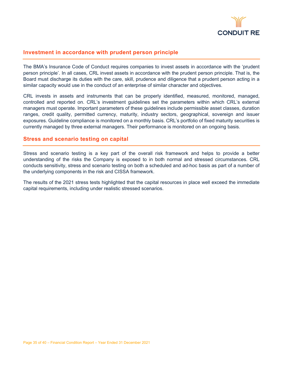

#### **Investment in accordance with prudent person principle**

The BMA's Insurance Code of Conduct requires companies to invest assets in accordance with the 'prudent person principle'. In all cases, CRL invest assets in accordance with the prudent person principle. That is, the Board must discharge its duties with the care, skill, prudence and diligence that a prudent person acting in a similar capacity would use in the conduct of an enterprise of similar character and objectives.

CRL invests in assets and instruments that can be properly identified, measured, monitored, managed, controlled and reported on. CRL's investment guidelines set the parameters within which CRL's external managers must operate. Important parameters of these guidelines include permissible asset classes, duration ranges, credit quality, permitted currency, maturity, industry sectors, geographical, sovereign and issuer exposures. Guideline compliance is monitored on a monthly basis. CRL's portfolio of fixed maturity securities is currently managed by three external managers. Their performance is monitored on an ongoing basis.

#### **Stress and scenario testing on capital**

Stress and scenario testing is a key part of the overall risk framework and helps to provide a better understanding of the risks the Company is exposed to in both normal and stressed circumstances. CRL conducts sensitivity, stress and scenario testing on both a scheduled and ad-hoc basis as part of a number of the underlying components in the risk and CISSA framework.

The results of the 2021 stress tests highlighted that the capital resources in place well exceed the immediate capital requirements, including under realistic stressed scenarios.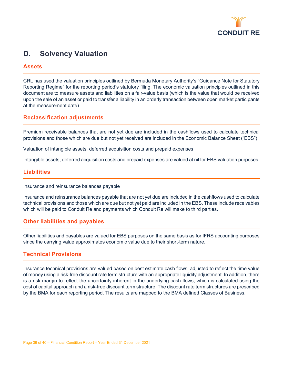

# <span id="page-36-0"></span>**D. Solvency Valuation**

#### **Assets**

CRL has used the valuation principles outlined by Bermuda Monetary Authority's "Guidance Note for Statutory Reporting Regime" for the reporting period's statutory filing. The economic valuation principles outlined in this document are to measure assets and liabilities on a fair-value basis (which is the value that would be received upon the sale of an asset or paid to transfer a liability in an orderly transaction between open market participants at the measurement date)

#### **Reclassification adjustments**

Premium receivable balances that are not yet due are included in the cashflows used to calculate technical provisions and those which are due but not yet received are included in the Economic Balance Sheet ("EBS").

Valuation of intangible assets, deferred acquisition costs and prepaid expenses

Intangible assets, deferred acquisition costs and prepaid expenses are valued at nil for EBS valuation purposes.

#### **Liabilities**

Insurance and reinsurance balances payable

Insurance and reinsurance balances payable that are not yet due are included in the cashflows used to calculate technical provisions and those which are due but not yet paid are included in the EBS. These include receivables which will be paid to Conduit Re and payments which Conduit Re will make to third parties.

#### **Other liabilities and payables**

Other liabilities and payables are valued for EBS purposes on the same basis as for IFRS accounting purposes since the carrying value approximates economic value due to their short-term nature.

#### **Technical Provisions**

Insurance technical provisions are valued based on best estimate cash flows, adjusted to reflect the time value of money using a risk-free discount rate term structure with an appropriate liquidity adjustment. In addition, there is a risk margin to reflect the uncertainty inherent in the underlying cash flows, which is calculated using the cost of capital approach and a risk-free discount term structure. The discount rate term structures are prescribed by the BMA for each reporting period. The results are mapped to the BMA defined Classes of Business.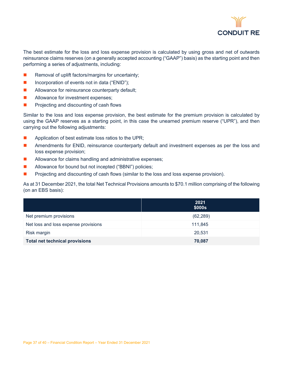

The best estimate for the loss and loss expense provision is calculated by using gross and net of outwards reinsurance claims reserves (on a generally accepted accounting ("GAAP") basis) as the starting point and then performing a series of adjustments, including:

- Removal of uplift factors/margins for uncertainty;
- Incorporation of events not in data ("ENID");
- **Allowance for reinsurance counterparty default;**
- Allowance for investment expenses;
- $\blacksquare$  Projecting and discounting of cash flows

Similar to the loss and loss expense provision, the best estimate for the premium provision is calculated by using the GAAP reserves as a starting point, in this case the unearned premium reserve ("UPR"), and then carrying out the following adjustments:

- **Application of best estimate loss ratios to the UPR;**
- **Amendments for ENID, reinsurance counterparty default and investment expenses as per the loss and** loss expense provision;
- Allowance for claims handling and administrative expenses;
- Allowance for bound but not incepted ("BBNI") policies;
- **Projecting and discounting of cash flows (similar to the loss and loss expense provision).**

As at 31 December 2021, the total Net Technical Provisions amounts to \$70.1 million comprising of the following (on an EBS basis):

|                                       | 2021<br>\$000s |
|---------------------------------------|----------------|
| Net premium provisions                | (62, 289)      |
| Net loss and loss expense provisions  | 111,845        |
| Risk margin                           | 20,531         |
| <b>Total net technical provisions</b> | 70,087         |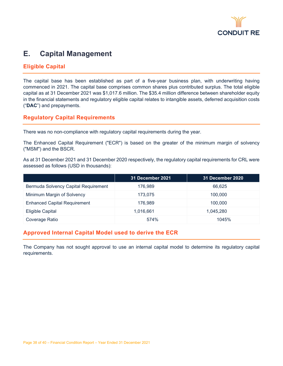

# <span id="page-38-0"></span>**E. Capital Management**

#### **Eligible Capital**

The capital base has been established as part of a five-year business plan, with underwriting having commenced in 2021. The capital base comprises common shares plus contributed surplus. The total eligible capital as at 31 December 2021 was \$1,017.6 million. The \$35.4 million difference between shareholder equity in the financial statements and regulatory eligible capital relates to intangible assets, deferred acquisition costs ("**DAC**") and prepayments.

#### **Regulatory Capital Requirements**

There was no non-compliance with regulatory capital requirements during the year.

The Enhanced Capital Requirement ("ECR") is based on the greater of the minimum margin of solvency ("MSM") and the BSCR.

As at 31 December 2021 and 31 December 2020 respectively, the regulatory capital requirements for CRL were assessed as follows (USD in thousands):

|                                      | <b>31 December 2021</b> | <b>31 December 2020</b> |
|--------------------------------------|-------------------------|-------------------------|
| Bermuda Solvency Capital Requirement | 176.989                 | 66,625                  |
| Minimum Margin of Solvency           | 173.075                 | 100.000                 |
| <b>Enhanced Capital Requirement</b>  | 176.989                 | 100,000                 |
| <b>Eligible Capital</b>              | 1,016,661               | 1,045,280               |
| Coverage Ratio                       | 574%                    | 1045%                   |

#### **Approved Internal Capital Model used to derive the ECR**

The Company has not sought approval to use an internal capital model to determine its regulatory capital requirements.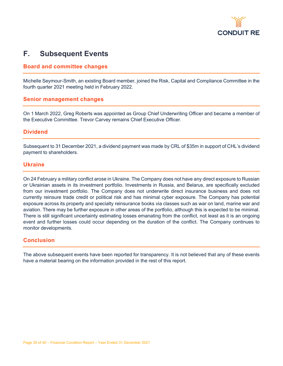

# <span id="page-39-0"></span>**F. Subsequent Events**

#### **Board and committee changes**

Michelle Seymour-Smith, an existing Board member, joined the Risk, Capital and Compliance Committee in the fourth quarter 2021 meeting held in February 2022.

#### **Senior management changes**

On 1 March 2022, Greg Roberts was appointed as Group Chief Underwriting Officer and became a member of the Executive Committee. Trevor Carvey remains Chief Executive Officer.

#### **Dividend**

Subsequent to 31 December 2021, a dividend payment was made by CRL of \$35m in support of CHL's dividend payment to shareholders.

#### **Ukraine**

On 24 February a military conflict arose in Ukraine. The Company does not have any direct exposure to Russian or Ukrainian assets in its investment portfolio. Investments in Russia, and Belarus, are specifically excluded from our investment portfolio. The Company does not underwrite direct insurance business and does not currently reinsure trade credit or political risk and has minimal cyber exposure. The Company has potential exposure across its property and specialty reinsurance books via classes such as war on land, marine war and aviation. There may be further exposure in other areas of the portfolio, although this is expected to be minimal. There is still significant uncertainty estimating losses emanating from the conflict, not least as it is an ongoing event and further losses could occur depending on the duration of the conflict. The Company continues to monitor developments.

#### **Conclusion**

The above subsequent events have been reported for transparency. It is not believed that any of these events have a material bearing on the information provided in the rest of this report.